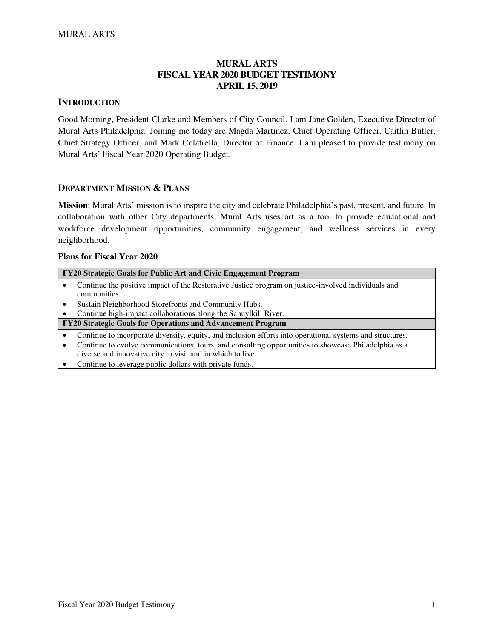# **MURAL ARTS FISCAL YEAR 2020 BUDGET TESTIMONY APRIL 15, 2019**

#### **INTRODUCTION**

Good Morning, President Clarke and Members of City Council. I am Jane Golden, Executive Director of Mural Arts Philadelphia. Joining me today are Magda Martinez, Chief Operating Officer, Caitlin Butler, Chief Strategy Officer, and Mark Colatrella, Director of Finance. I am pleased to provide testimony on Mural Arts' Fiscal Year 2020 Operating Budget.

#### **DEPARTMENT MISSION & PLANS**

**Mission**: Mural Arts' mission is to inspire the city and celebrate Philadelphia's past, present, and future. In collaboration with other City departments, Mural Arts uses art as a tool to provide educational and workforce development opportunities, community engagement, and wellness services in every neighborhood.

#### **Plans for Fiscal Year 2020**:

| FY20 Strategic Goals for Public Art and Civic Engagement Program                                          |  |  |  |  |
|-----------------------------------------------------------------------------------------------------------|--|--|--|--|
| Continue the positive impact of the Restorative Justice program on justice-involved individuals and       |  |  |  |  |
| communities.                                                                                              |  |  |  |  |
| Sustain Neighborhood Storefronts and Community Hubs.                                                      |  |  |  |  |
| Continue high-impact collaborations along the Schuylkill River.                                           |  |  |  |  |
| FY20 Strategic Goals for Operations and Advancement Program                                               |  |  |  |  |
| Continue to incorporate diversity, equity, and inclusion efforts into operational systems and structures. |  |  |  |  |
| Continue to evolve communications, tours, and consulting opportunities to showcase Philadelphia as a      |  |  |  |  |
| diverse and innovative city to visit and in which to live.                                                |  |  |  |  |
| Continue to leverage public dollars with private funds.                                                   |  |  |  |  |
|                                                                                                           |  |  |  |  |
|                                                                                                           |  |  |  |  |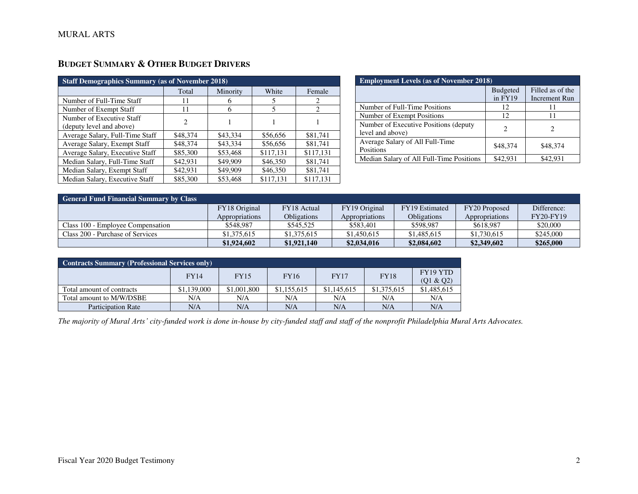# **BUDGET SUMMARY & OTHER BUDGET DRIVERS**

| <b>Staff Demographics Summary (as of November 2018)</b> |          |          |           |               |  |  |  |
|---------------------------------------------------------|----------|----------|-----------|---------------|--|--|--|
|                                                         | Total    | Minority | White     | Female        |  |  |  |
| Number of Full-Time Staff                               | 11       | 6        |           | 2             |  |  |  |
| Number of Exempt Staff                                  | 11       | 6        | 5         | $\mathcal{D}$ |  |  |  |
| Number of Executive Staff<br>(deputy level and above)   | 2        |          |           |               |  |  |  |
| Average Salary, Full-Time Staff                         | \$48,374 | \$43,334 | \$56,656  | \$81,741      |  |  |  |
| Average Salary, Exempt Staff                            | \$48,374 | \$43,334 | \$56,656  | \$81,741      |  |  |  |
| Average Salary, Executive Staff                         | \$85,300 | \$53,468 | \$117,131 | \$117,131     |  |  |  |
| Median Salary, Full-Time Staff                          | \$42,931 | \$49,909 | \$46,350  | \$81,741      |  |  |  |
| Median Salary, Exempt Staff                             | \$42,931 | \$49,909 | \$46,350  | \$81,741      |  |  |  |
| Median Salary, Executive Staff                          | \$85,300 | \$53,468 | \$117,131 | \$117,131     |  |  |  |

| <b>Employment Levels (as of November 2018)</b>            |                            |                                   |  |  |  |  |
|-----------------------------------------------------------|----------------------------|-----------------------------------|--|--|--|--|
|                                                           | <b>Budgeted</b><br>in FY19 | Filled as of the<br>Increment Run |  |  |  |  |
| Number of Full-Time Positions                             | 12                         | 11                                |  |  |  |  |
| Number of Exempt Positions                                | 12                         | 11                                |  |  |  |  |
| Number of Executive Positions (deputy<br>level and above) | 2                          |                                   |  |  |  |  |
| Average Salary of All Full-Time<br>Positions              | \$48,374                   | \$48,374                          |  |  |  |  |
| Median Salary of All Full-Time Positions                  | \$42.931                   | \$42,931                          |  |  |  |  |

| <b>General Fund Financial Summary by Class</b> |                |                    |                |                    |                |                  |  |  |
|------------------------------------------------|----------------|--------------------|----------------|--------------------|----------------|------------------|--|--|
|                                                | FY18 Original  | FY18 Actual        | FY19 Original  | FY19 Estimated     | FY20 Proposed  | Difference:      |  |  |
|                                                | Appropriations | <b>Obligations</b> | Appropriations | <b>Obligations</b> | Appropriations | <b>FY20-FY19</b> |  |  |
| Class 100 - Employee Compensation              | \$548,987      | \$545,525          | \$583,401      | \$598,987          | \$618,987      | \$20,000         |  |  |
| Class 200 - Purchase of Services               | \$1,375,615    | \$1,375,615        | \$1,450,615    | \$1,485,615        | \$1,730,615    | \$245,000        |  |  |
|                                                | \$1,924,602    | \$1,921,140        | \$2,034,016    | \$2,084,602        | \$2,349,602    | \$265,000        |  |  |

| <b>Contracts Summary (Professional Services only)</b>                                            |             |             |             |             |             |             |  |  |
|--------------------------------------------------------------------------------------------------|-------------|-------------|-------------|-------------|-------------|-------------|--|--|
| FY19 YTD<br><b>FY18</b><br><b>FY16</b><br><b>FY14</b><br><b>FY17</b><br><b>FY15</b><br>(Q1 & Q2) |             |             |             |             |             |             |  |  |
| Total amount of contracts                                                                        | \$1,139,000 | \$1,001,800 | \$1,155,615 | \$1,145,615 | \$1,375,615 | \$1,485,615 |  |  |
| Total amount to M/W/DSBE                                                                         | N/A         | N/A         | N/A         | N/A         | N/A         | N/A         |  |  |
| <b>Participation Rate</b>                                                                        | N/A         | N/A         | N/A         | N/A         | N/A         | N/A         |  |  |

*The majority of Mural Arts' city-funded work is done in-house by city-funded staff and staff of the nonprofit Philadelphia Mural Arts Advocates.*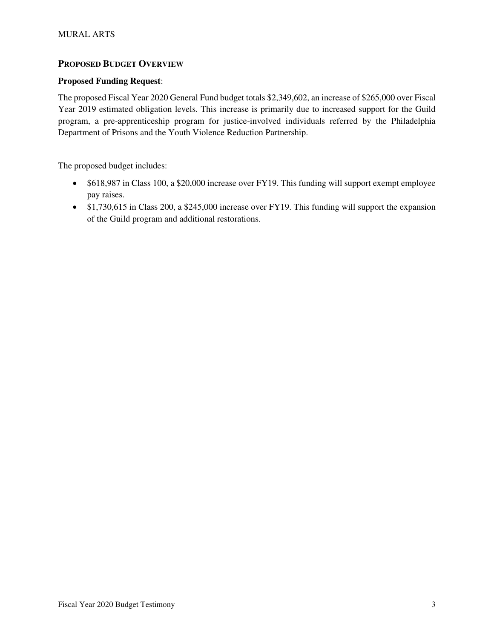## **PROPOSED BUDGET OVERVIEW**

### **Proposed Funding Request**:

The proposed Fiscal Year 2020 General Fund budget totals \$2,349,602, an increase of \$265,000 over Fiscal Year 2019 estimated obligation levels. This increase is primarily due to increased support for the Guild program, a pre-apprenticeship program for justice-involved individuals referred by the Philadelphia Department of Prisons and the Youth Violence Reduction Partnership.

The proposed budget includes:

- \$618,987 in Class 100, a \$20,000 increase over FY19. This funding will support exempt employee pay raises.
- \$1,730,615 in Class 200, a \$245,000 increase over FY19. This funding will support the expansion of the Guild program and additional restorations.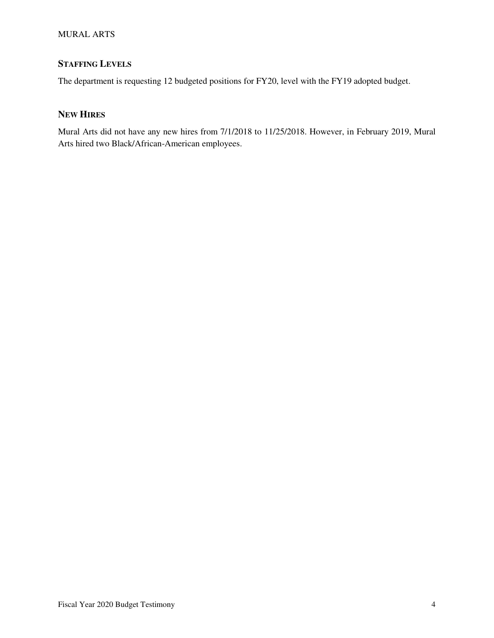#### MURAL ARTS

# **STAFFING LEVELS**

The department is requesting 12 budgeted positions for FY20, level with the FY19 adopted budget.

## **NEW HIRES**

Mural Arts did not have any new hires from 7/1/2018 to 11/25/2018. However, in February 2019, Mural Arts hired two Black/African-American employees.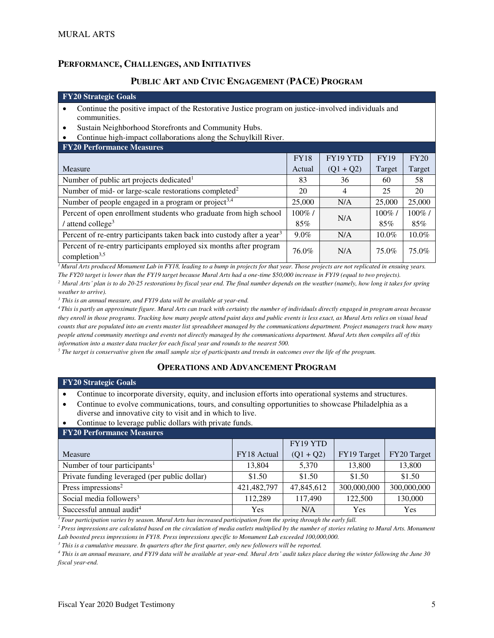### **PERFORMANCE, CHALLENGES, AND INITIATIVES**

### **PUBLIC ART AND CIVIC ENGAGEMENT (PACE) PROGRAM**

#### **FY20 Strategic Goals**

- Continue the positive impact of the Restorative Justice program on justice-involved individuals and communities.
- Sustain Neighborhood Storefronts and Community Hubs.
- Continue high-impact collaborations along the Schuylkill River.

| <b>FY20 Performance Measures</b>                                                                |             |             |             |           |  |  |  |
|-------------------------------------------------------------------------------------------------|-------------|-------------|-------------|-----------|--|--|--|
|                                                                                                 | <b>FY18</b> | FY19 YTD    | <b>FY19</b> | FY20      |  |  |  |
| Measure                                                                                         | Actual      | $(Q1 + Q2)$ | Target      | Target    |  |  |  |
| Number of public art projects dedicated <sup>1</sup>                                            | 83          | 36          | 60          | 58        |  |  |  |
| Number of mid- or large-scale restorations completed <sup>2</sup>                               | 20          | 4           | 25          | 20        |  |  |  |
| Number of people engaged in a program or project <sup>3,4</sup>                                 | 25,000      | N/A         | 25,000      | 25,000    |  |  |  |
| Percent of open enrollment students who graduate from high school                               | $100\%$ /   | N/A         | $100\%$ /   | $100\%$ / |  |  |  |
| $\frac{1}{2}$ attend college <sup>3</sup>                                                       | 85%<br>85%  |             |             | 85%       |  |  |  |
| Percent of re-entry participants taken back into custody after a year <sup>3</sup>              | $9.0\%$     | N/A         | $10.0\%$    | $10.0\%$  |  |  |  |
| Percent of re-entry participants employed six months after program<br>completion <sup>3,5</sup> | 76.0%       | N/A         | 75.0%       | 75.0%     |  |  |  |

*<sup>1</sup>Mural Arts produced Monument Lab in FY18, leading to a bump in projects for that year. Those projects are not replicated in ensuing years. The FY20 target is lower than the FY19 target because Mural Arts had a one-time \$50,000 increase in FY19 (equal to two projects).* 

*<sup>2</sup> Mural Arts' plan is to do 20-25 restorations by fiscal year end. The final number depends on the weather (namely, how long it takes for spring weather to arrive).* 

*3 This is an annual measure, and FY19 data will be available at year-end.* 

*<sup>4</sup>This is partly an approximate figure. Mural Arts can track with certainty the number of individuals directly engaged in program areas because they enroll in those programs. Tracking how many people attend paint days and public events is less exact, as Mural Arts relies on visual head counts that are populated into an events master list spreadsheet managed by the communications department. Project managers track how many people attend community meetings and events not directly managed by the communications department. Mural Arts then compiles all of this information into a master data tracker for each fiscal year and rounds to the nearest 500.* 

*5 The target is conservative given the small sample size of participants and trends in outcomes over the life of the program.*

#### **OPERATIONS AND ADVANCEMENT PROGRAM**

#### **FY20 Strategic Goals**

• Continue to incorporate diversity, equity, and inclusion efforts into operational systems and structures.

- Continue to evolve communications, tours, and consulting opportunities to showcase Philadelphia as a diverse and innovative city to visit and in which to live.
- Continue to leverage public dollars with private funds.

| <b>FY20 Performance Measures</b>              |             |             |             |             |  |  |  |  |
|-----------------------------------------------|-------------|-------------|-------------|-------------|--|--|--|--|
|                                               |             | FY19 YTD    |             |             |  |  |  |  |
| Measure                                       | FY18 Actual | $(Q1 + Q2)$ | FY19 Target | FY20 Target |  |  |  |  |
| Number of tour participants <sup>1</sup>      | 13,804      | 5,370       | 13,800      | 13,800      |  |  |  |  |
| Private funding leveraged (per public dollar) | \$1.50      | \$1.50      | \$1.50      | \$1.50      |  |  |  |  |
| Press impressions <sup>2</sup>                | 421,482,797 | 47,845,612  | 300,000,000 | 300,000,000 |  |  |  |  |
| Social media followers <sup>3</sup>           | 112,289     | 117,490     | 122,500     | 130,000     |  |  |  |  |
| Successful annual audit <sup>4</sup>          | Yes         | N/A         | Yes         | Yes         |  |  |  |  |

*<sup>1</sup>Tour participation varies by season. Mural Arts has increased participation from the spring through the early fall.* 

*<sup>2</sup>Press impressions are calculated based on the circulation of media outlets multiplied by the number of stories relating to Mural Arts. Monument Lab boosted press impressions in FY18. Press impressions specific to Monument Lab exceeded 100,000,000.* 

<sup>3</sup> This is a cumulative measure. In quarters after the first quarter, only new followers will be reported.

*4 This is an annual measure, and FY19 data will be available at year-end. Mural Arts' audit takes place during the winter following the June 30 fiscal year-end.*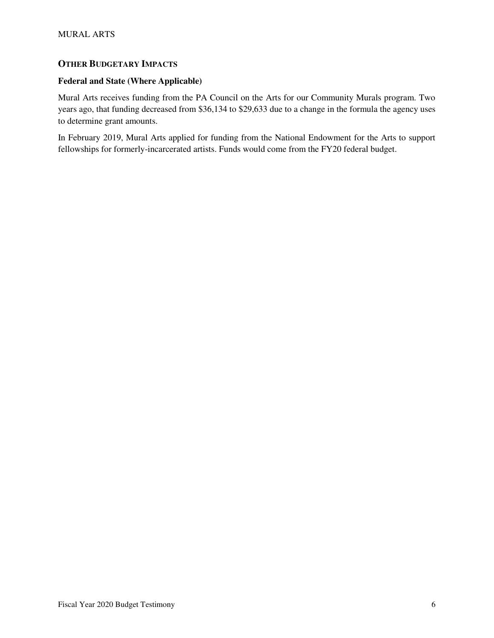## **OTHER BUDGETARY IMPACTS**

#### **Federal and State (Where Applicable)**

Mural Arts receives funding from the PA Council on the Arts for our Community Murals program. Two years ago, that funding decreased from \$36,134 to \$29,633 due to a change in the formula the agency uses to determine grant amounts.

In February 2019, Mural Arts applied for funding from the National Endowment for the Arts to support fellowships for formerly-incarcerated artists. Funds would come from the FY20 federal budget.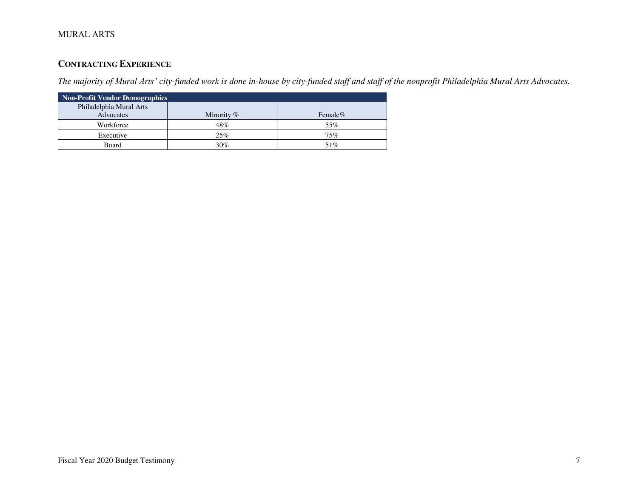# **CONTRACTING EXPERIENCE**

*The majority of Mural Arts' city-funded work is done in-house by city-funded staff and staff of the nonprofit Philadelphia Mural Arts Advocates.*

| <b>Non-Profit Vendor Demographics</b> |               |         |  |  |  |  |  |
|---------------------------------------|---------------|---------|--|--|--|--|--|
| Philadelphia Mural Arts               |               |         |  |  |  |  |  |
| Advocates                             | Minority $\%$ | Female% |  |  |  |  |  |
| Workforce                             | 48%           | 55%     |  |  |  |  |  |
| Executive                             | 25%           | 75%     |  |  |  |  |  |
| Board                                 | 30%           | 51%     |  |  |  |  |  |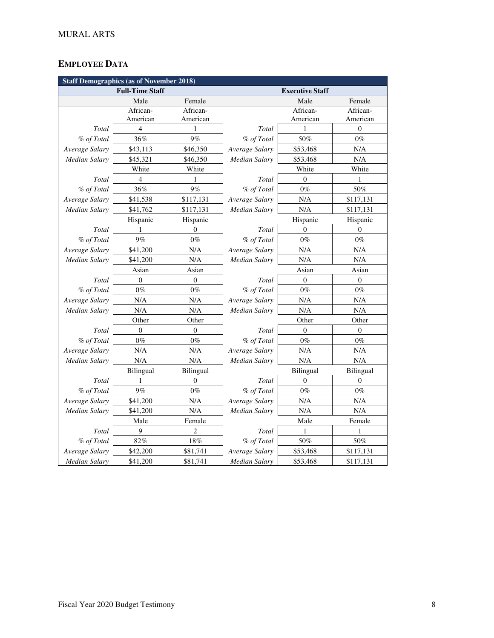# **EMPLOYEE DATA**

| <b>Staff Demographics (as of November 2018)</b> |                          |                  |                        |                  |                  |  |  |
|-------------------------------------------------|--------------------------|------------------|------------------------|------------------|------------------|--|--|
|                                                 | <b>Full-Time Staff</b>   |                  | <b>Executive Staff</b> |                  |                  |  |  |
| Female<br>Male                                  |                          |                  |                        | Male             | Female           |  |  |
|                                                 | African-                 | African-         |                        | African-         | African-         |  |  |
|                                                 | American                 | American         |                        | American         | American         |  |  |
| Total                                           | $\overline{4}$           | 1                | Total                  | 1                | $\boldsymbol{0}$ |  |  |
| % of Total                                      | 36%                      | 9%               | % of Total             | 50%              | $0\%$            |  |  |
| Average Salary                                  | \$43,113                 | \$46,350         | Average Salary         | \$53,468         | $\rm N/A$        |  |  |
| Median Salary                                   | \$45,321                 | \$46,350         | Median Salary          | \$53,468         | N/A              |  |  |
|                                                 | White                    | White            |                        | White            | White            |  |  |
| Total                                           | $\overline{\mathcal{L}}$ | 1                | Total                  | $\Omega$         | 1                |  |  |
| % of Total                                      | 36%                      | 9%               | % of Total             | $0\%$            | 50%              |  |  |
| Average Salary                                  | \$41,538                 | \$117,131        | Average Salary         | N/A              | \$117,131        |  |  |
| <b>Median Salary</b>                            | \$41,762                 | \$117,131        | Median Salary          | N/A              | \$117,131        |  |  |
|                                                 | Hispanic                 | Hispanic         |                        | Hispanic         | Hispanic         |  |  |
| Total                                           | 1                        | $\overline{0}$   | Total                  | $\overline{0}$   | $\mathbf{0}$     |  |  |
| % of Total                                      | 9%                       | $0\%$            | % of Total             | $0\%$            | $0\%$            |  |  |
| Average Salary                                  | \$41,200                 | N/A              | Average Salary         | N/A              | N/A              |  |  |
| <b>Median Salary</b>                            | \$41,200                 | N/A              | Median Salary          | N/A              | $\rm N/A$        |  |  |
|                                                 | Asian                    | Asian            |                        | Asian            | Asian            |  |  |
| Total                                           | $\overline{0}$           | $\mathbf{0}$     | Total                  | $\mathbf{0}$     | $\theta$         |  |  |
| % of Total                                      | $0\%$                    | $0\%$            | % of Total             | $0\%$            | $0\%$            |  |  |
| Average Salary                                  | $\rm N/A$                | N/A              | Average Salary         | N/A              | $\rm N/A$        |  |  |
| Median Salary                                   | N/A                      | N/A              | Median Salary          | N/A              | N/A              |  |  |
|                                                 | Other                    | Other            |                        | Other            | Other            |  |  |
| Total                                           | $\overline{0}$           | $\boldsymbol{0}$ | Total                  | $\overline{0}$   | $\mathbf{0}$     |  |  |
| % of Total                                      | $0\%$                    | $0\%$            | % of Total             | $0\%$            | $0\%$            |  |  |
| Average Salary                                  | N/A                      | N/A              | Average Salary         | N/A              | N/A              |  |  |
| Median Salary                                   | N/A                      | N/A              | <b>Median Salary</b>   | N/A              | N/A              |  |  |
|                                                 | Bilingual                | Bilingual        |                        | <b>Bilingual</b> | Bilingual        |  |  |
| Total                                           | 1                        | $\theta$         | Total                  | $\overline{0}$   | $\theta$         |  |  |
| % of Total                                      | 9%                       | $0\%$            | % of Total             | $0\%$            | $0\%$            |  |  |
| Average Salary                                  | \$41,200                 | N/A              | Average Salary         | N/A              | N/A              |  |  |
| Median Salary                                   | \$41,200                 | N/A              | Median Salary          | N/A              | N/A              |  |  |
|                                                 | Male                     | Female           |                        | Male             | Female           |  |  |
| Total                                           | 9                        | $\overline{c}$   | Total                  | 1                | 1                |  |  |
| % of Total                                      | 82%                      | 18%              | % of Total             | 50%              | 50%              |  |  |
| Average Salary                                  | \$42,200                 | \$81,741         | Average Salary         | \$53,468         | \$117,131        |  |  |
| Median Salary                                   | \$41,200                 | \$81,741         | Median Salary          | \$53,468         | \$117,131        |  |  |